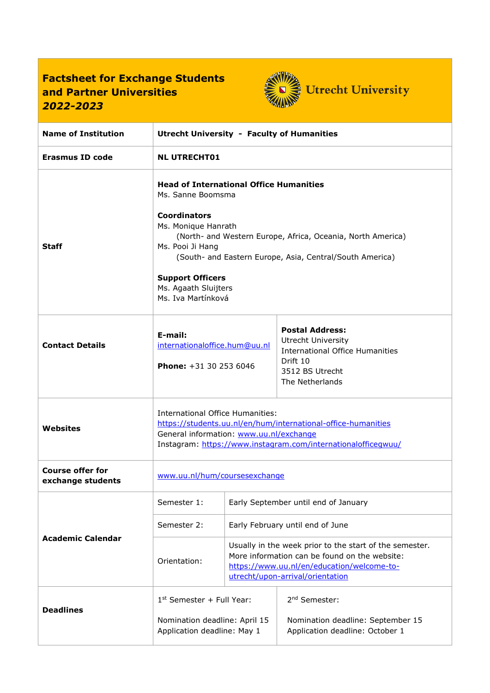## **Factsheet for Exchange Students and Partner Universities** *2022-2023*



| <b>Name of Institution</b>                   | <b>Utrecht University - Faculty of Humanities</b>                                                                                                                                                                                                                                                                                         |                                      |                                                                                                                                                                                            |
|----------------------------------------------|-------------------------------------------------------------------------------------------------------------------------------------------------------------------------------------------------------------------------------------------------------------------------------------------------------------------------------------------|--------------------------------------|--------------------------------------------------------------------------------------------------------------------------------------------------------------------------------------------|
| <b>Erasmus ID code</b>                       | <b>NL UTRECHT01</b>                                                                                                                                                                                                                                                                                                                       |                                      |                                                                                                                                                                                            |
| <b>Staff</b>                                 | <b>Head of International Office Humanities</b><br>Ms. Sanne Boomsma<br><b>Coordinators</b><br>Ms. Monique Hanrath<br>(North- and Western Europe, Africa, Oceania, North America)<br>Ms. Pooi Ji Hang<br>(South- and Eastern Europe, Asia, Central/South America)<br><b>Support Officers</b><br>Ms. Agaath Sluijters<br>Ms. Iva Martínková |                                      |                                                                                                                                                                                            |
| <b>Contact Details</b>                       | E-mail:<br>internationaloffice.hum@uu.nl<br><b>Phone:</b> $+31$ 30 253 6046                                                                                                                                                                                                                                                               |                                      | <b>Postal Address:</b><br><b>Utrecht University</b><br><b>International Office Humanities</b><br>Drift 10<br>3512 BS Utrecht<br>The Netherlands                                            |
| Websites                                     | International Office Humanities:<br>https://students.uu.nl/en/hum/international-office-humanities<br>General information: www.uu.nl/exchange<br>Instagram: https://www.instagram.com/internationalofficegwuu/                                                                                                                             |                                      |                                                                                                                                                                                            |
| <b>Course offer for</b><br>exchange students | www.uu.nl/hum/coursesexchange                                                                                                                                                                                                                                                                                                             |                                      |                                                                                                                                                                                            |
| <b>Academic Calendar</b>                     | Semester 1:                                                                                                                                                                                                                                                                                                                               | Early September until end of January |                                                                                                                                                                                            |
|                                              | Semester 2:                                                                                                                                                                                                                                                                                                                               | Early February until end of June     |                                                                                                                                                                                            |
|                                              | Orientation:                                                                                                                                                                                                                                                                                                                              |                                      | Usually in the week prior to the start of the semester.<br>More information can be found on the website:<br>https://www.uu.nl/en/education/welcome-to-<br>utrecht/upon-arrival/orientation |
| <b>Deadlines</b>                             | $1st$ Semester + Full Year:<br>Nomination deadline: April 15<br>Application deadline: May 1                                                                                                                                                                                                                                               |                                      | 2 <sup>nd</sup> Semester:<br>Nomination deadline: September 15<br>Application deadline: October 1                                                                                          |